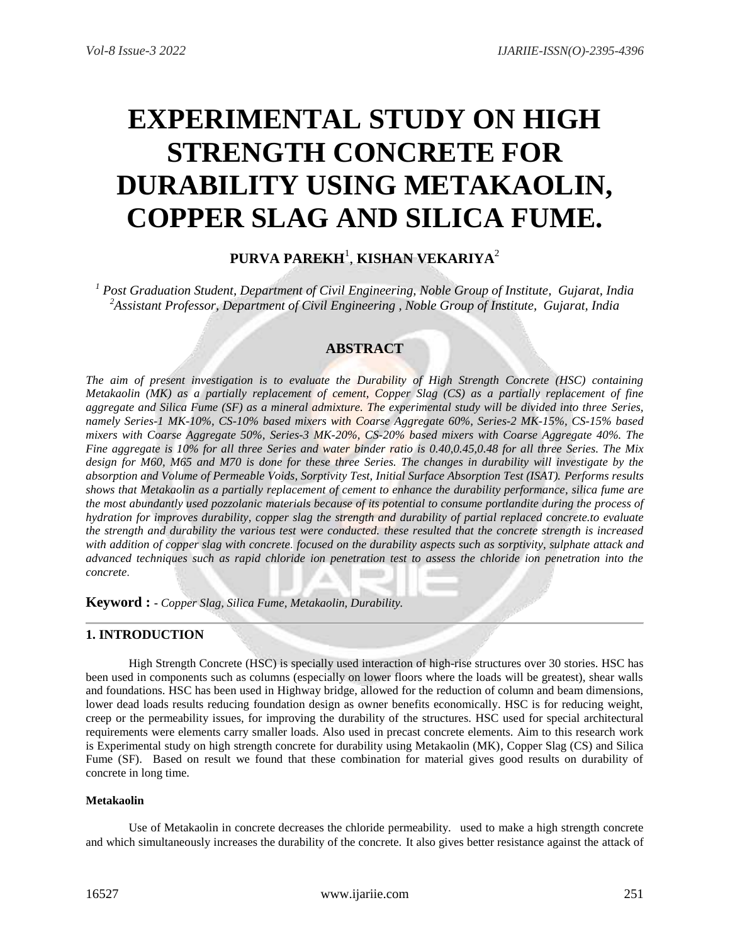# **EXPERIMENTAL STUDY ON HIGH STRENGTH CONCRETE FOR DURABILITY USING METAKAOLIN, COPPER SLAG AND SILICA FUME.**

# **PURVA PAREKH**<sup>1</sup> , **KISHAN VEKARIYA**<sup>2</sup>

*<sup>1</sup> Post Graduation Student, Department of Civil Engineering, Noble Group of Institute, Gujarat, India <sup>2</sup>Assistant Professor, Department of Civil Engineering , Noble Group of Institute, Gujarat, India*

## **ABSTRACT**

*The aim of present investigation is to evaluate the Durability of High Strength Concrete (HSC) containing Metakaolin (MK) as a partially replacement of cement, Copper Slag (CS) as a partially replacement of fine aggregate and Silica Fume (SF) as a mineral admixture. The experimental study will be divided into three Series, namely Series-1 MK-10%, CS-10% based mixers with Coarse Aggregate 60%, Series-2 MK-15%, CS-15% based mixers with Coarse Aggregate 50%, Series-3 MK-20%, CS-20% based mixers with Coarse Aggregate 40%. The Fine aggregate is 10% for all three Series and water binder ratio is 0.40,0.45,0.48 for all three Series. The Mix design for M60, M65 and M70 is done for these three Series. The changes in durability will investigate by the absorption and Volume of Permeable Voids, Sorptivity Test, Initial Surface Absorption Test (ISAT). Performs results shows that Metakaolin as a partially replacement of cement to enhance the durability performance, silica fume are the most abundantly used pozzolanic materials because of its potential to consume portlandite during the process of hydration for improves durability, copper slag the strength and durability of partial replaced concrete.to evaluate the strength and durability the various test were conducted. these resulted that the concrete strength is increased with addition of copper slag with concrete. focused on the durability aspects such as sorptivity, sulphate attack and advanced techniques such as rapid chloride ion penetration test to assess the chloride ion penetration into the concrete*.

**Keyword : -** *Copper Slag, Silica Fume, Metakaolin, Durability.*

## **1. INTRODUCTION**

High Strength Concrete (HSC) is specially used interaction of high-rise structures over 30 stories. HSC has been used in components such as columns (especially on lower floors where the loads will be greatest), shear walls and foundations. HSC has been used in Highway bridge, allowed for the reduction of column and beam dimensions, lower dead loads results reducing foundation design as owner benefits economically. HSC is for reducing weight, creep or the permeability issues, for improving the durability of the structures. HSC used for special architectural requirements were elements carry smaller loads. Also used in precast concrete elements. Aim to this research work is Experimental study on high strength concrete for durability using Metakaolin (MK), Copper Slag (CS) and Silica Fume (SF). Based on result we found that these combination for material gives good results on durability of concrete in long time.

#### **Metakaolin**

Use of Metakaolin in concrete decreases the chloride permeability. used to make a high strength concrete and which simultaneously increases the durability of the concrete. It also gives better resistance against the attack of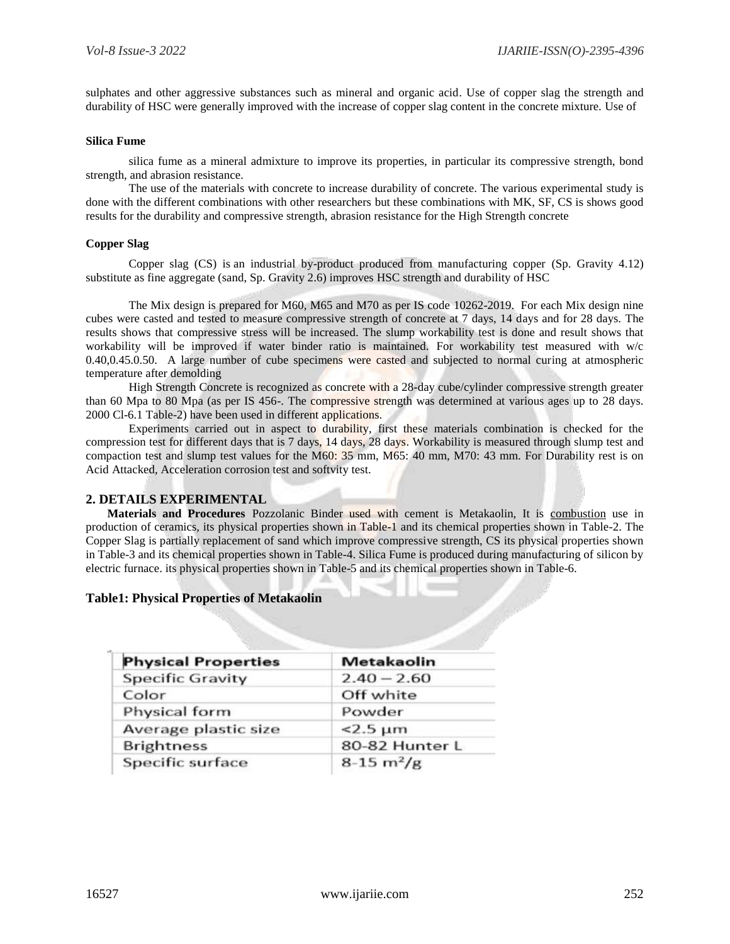sulphates and other aggressive substances such as mineral and organic acid. Use of copper slag the strength and durability of HSC were generally improved with the increase of copper slag content in the concrete mixture. Use of

#### **Silica Fume**

silica fume as a mineral admixture to improve its properties, in particular its compressive strength, bond strength, and abrasion resistance.

The use of the materials with concrete to increase durability of concrete. The various experimental study is done with the different combinations with other researchers but these combinations with MK, SF, CS is shows good results for the durability and compressive strength, abrasion resistance for the High Strength concrete

## **Copper Slag**

Copper slag (CS) is an industrial by-product produced from manufacturing copper (Sp. Gravity 4.12) substitute as fine aggregate (sand, Sp. Gravity 2.6) improves HSC strength and durability of HSC

The Mix design is prepared for M60, M65 and M70 as per IS code 10262-2019. For each Mix design nine cubes were casted and tested to measure compressive strength of concrete at 7 days, 14 days and for 28 days. The results shows that compressive stress will be increased. The slump workability test is done and result shows that workability will be improved if water binder ratio is maintained. For workability test measured with w/c 0.40,0.45.0.50. A large number of cube specimens were casted and subjected to normal curing at atmospheric temperature after demolding

High Strength Concrete is recognized as concrete with a 28-day cube/cylinder compressive strength greater than 60 Mpa to 80 Mpa (as per IS 456-. The compressive strength was determined at various ages up to 28 days. 2000 Cl-6.1 Table-2) have been used in different applications.

Experiments carried out in aspect to durability, first these materials combination is checked for the compression test for different days that is 7 days, 14 days, 28 days. Workability is measured through slump test and compaction test and slump test values for the M60: 35 mm, M65: 40 mm, M70: 43 mm. For Durability rest is on Acid Attacked, Acceleration corrosion test and softvity test.

## **2. DETAILS EXPERIMENTAL**

**Materials and Procedures** Pozzolanic Binder used with cement is Metakaolin, It is combustion use in production of ceramics, its physical properties shown in Table-1 and its chemical properties shown in Table-2. The Copper Slag is partially replacement of sand which improve compressive strength, CS its physical properties shown in Table-3 and its chemical properties shown in Table-4. Silica Fume is produced during manufacturing of silicon by electric furnace. its physical properties shown in Table-5 and its chemical properties shown in Table-6.

## **Table1: Physical Properties of Metakaolin**

| <b>Physical Properties</b> | Metakaolin                  |
|----------------------------|-----------------------------|
| <b>Specific Gravity</b>    | $2.40 - 2.60$               |
| Color                      | Off white                   |
| Physical form              | Powder                      |
| Average plastic size       | $<$ 2.5 $\mu$ m             |
| <b>Brightness</b>          | 80-82 Hunter L              |
| Specific surface           | $8-15 \text{ m}^2/\text{g}$ |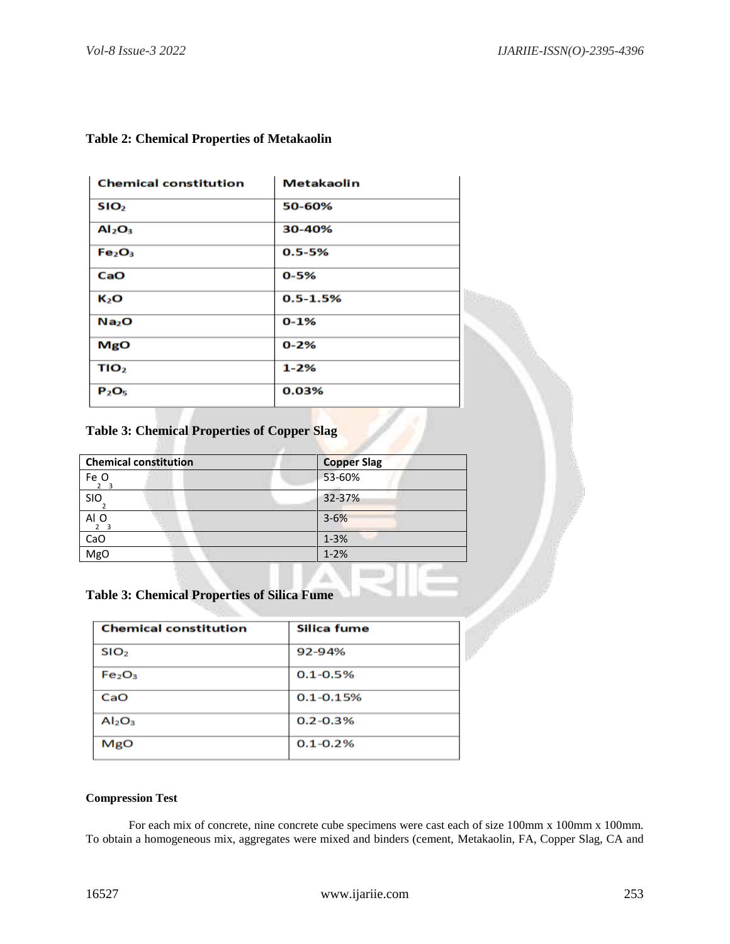| <b>Chemical constitution</b>   | <b>Metakaolin</b> |  |
|--------------------------------|-------------------|--|
| SIO <sub>2</sub>               | 50-60%            |  |
| Al <sub>2</sub> O <sub>3</sub> | 30-40%            |  |
| Fe <sub>2</sub> O <sub>3</sub> | $0.5 - 5%$        |  |
| CaO                            | $0 - 5%$          |  |
| K2O                            | $0.5 - 1.5%$      |  |
| Na <sub>2</sub> O              | $0 - 1%$          |  |
| MgO                            | $0 - 2%$          |  |
| TIO <sub>2</sub>               | $1 - 2%$          |  |
| $P_2O_5$                       | 0.03%             |  |

# **Table 2: Chemical Properties of Metakaolin**

# **Table 3: Chemical Properties of Copper Slag**

| <b>Chemical constitution</b> | <b>Copper Slag</b> |
|------------------------------|--------------------|
| Fe O<br>2 3                  | 53-60%             |
| <b>SIO</b>                   | 32-37%             |
| AI O<br>2 <sub>3</sub>       | $3 - 6%$           |
| CaO                          | $1 - 3%$           |
| MgO                          | $1 - 2%$           |
|                              |                    |

# **Table 3: Chemical Properties of Silica Fume**

| <b>Chemical constitution</b>   | Silica fume   |  |
|--------------------------------|---------------|--|
| SIO <sub>2</sub>               | 92-94%        |  |
| Fe <sub>2</sub> O <sub>3</sub> | $0.1 - 0.5%$  |  |
| CaO                            | $0.1 - 0.15%$ |  |
| Al <sub>2</sub> O <sub>3</sub> | $0.2 - 0.3%$  |  |
| MgO                            | $0.1 - 0.2%$  |  |

## **Compression Test**

For each mix of concrete, nine concrete cube specimens were cast each of size 100mm x 100mm x 100mm. To obtain a homogeneous mix, aggregates were mixed and binders (cement, Metakaolin, FA, Copper Slag, CA and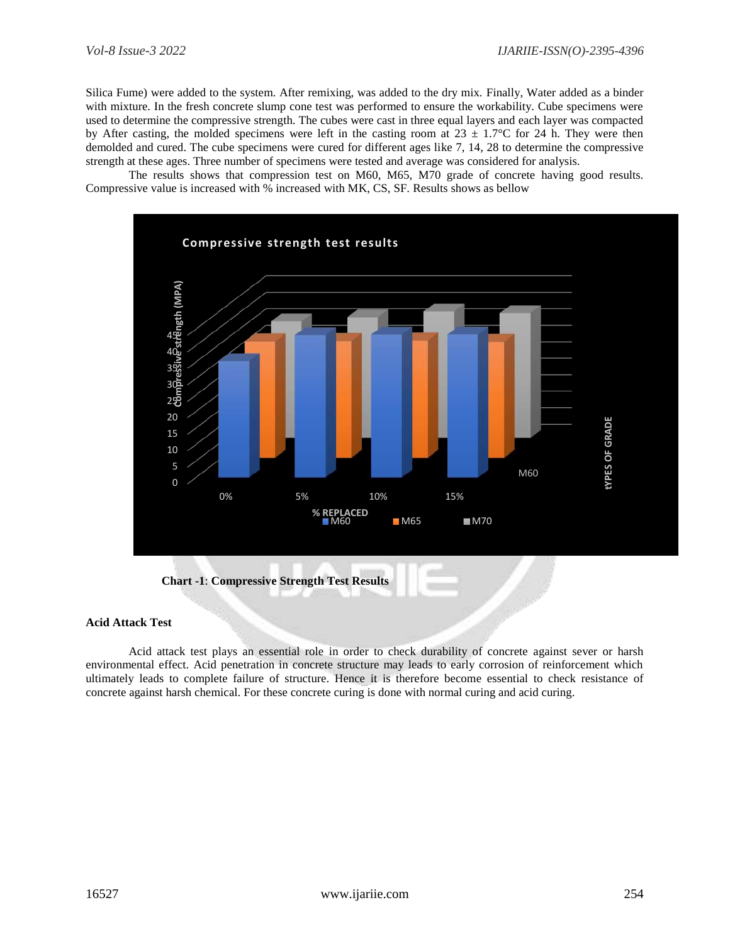Silica Fume) were added to the system. After remixing, was added to the dry mix. Finally, Water added as a binder with mixture. In the fresh concrete slump cone test was performed to ensure the workability. Cube specimens were used to determine the compressive strength. The cubes were cast in three equal layers and each layer was compacted by After casting, the molded specimens were left in the casting room at  $23 \pm 1.7^{\circ}$ C for 24 h. They were then demolded and cured. The cube specimens were cured for different ages like 7, 14, 28 to determine the compressive strength at these ages. Three number of specimens were tested and average was considered for analysis.

The results shows that compression test on M60, M65, M70 grade of concrete having good results. Compressive value is increased with % increased with MK, CS, SF. Results shows as bellow



#### **Acid Attack Test**

Acid attack test plays an essential role in order to check durability of concrete against sever or harsh environmental effect. Acid penetration in concrete structure may leads to early corrosion of reinforcement which ultimately leads to complete failure of structure. Hence it is therefore become essential to check resistance of concrete against harsh chemical. For these concrete curing is done with normal curing and acid curing.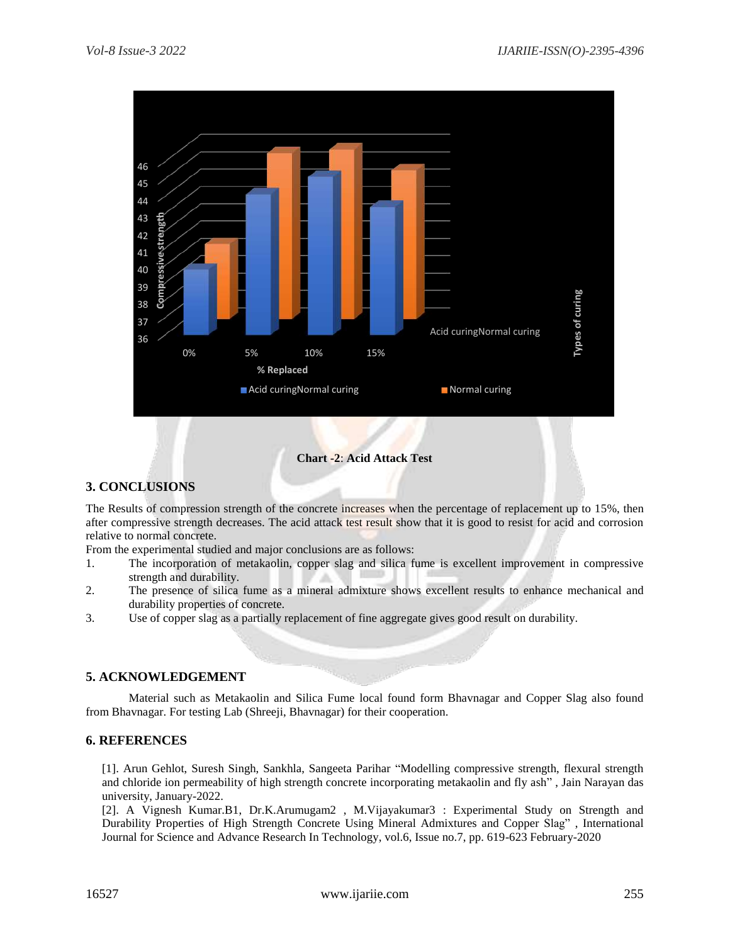

## **Chart -2**: **Acid Attack Test**

## **3. CONCLUSIONS**

The Results of compression strength of the concrete increases when the percentage of replacement up to 15%, then after compressive strength decreases. The acid attack test result show that it is good to resist for acid and corrosion relative to normal concrete.

From the experimental studied and major conclusions are as follows:

- 1. The incorporation of metakaolin, copper slag and silica fume is excellent improvement in compressive strength and durability.
- 2. The presence of silica fume as a mineral admixture shows excellent results to enhance mechanical and durability properties of concrete.
- 3. Use of copper slag as a partially replacement of fine aggregate gives good result on durability.

## **5. ACKNOWLEDGEMENT**

Material such as Metakaolin and Silica Fume local found form Bhavnagar and Copper Slag also found from Bhavnagar. For testing Lab (Shreeji, Bhavnagar) for their cooperation.

## **6. REFERENCES**

[1]. Arun Gehlot, Suresh Singh, Sankhla, Sangeeta Parihar "Modelling compressive strength, flexural strength and chloride ion permeability of high strength concrete incorporating metakaolin and fly ash" , Jain Narayan das university, January-2022.

[2]. A Vignesh Kumar.B1, Dr.K.Arumugam2 , M.Vijayakumar3 : Experimental Study on Strength and Durability Properties of High Strength Concrete Using Mineral Admixtures and Copper Slag" , International Journal for Science and Advance Research In Technology, vol.6, Issue no.7, pp. 619-623 February-2020